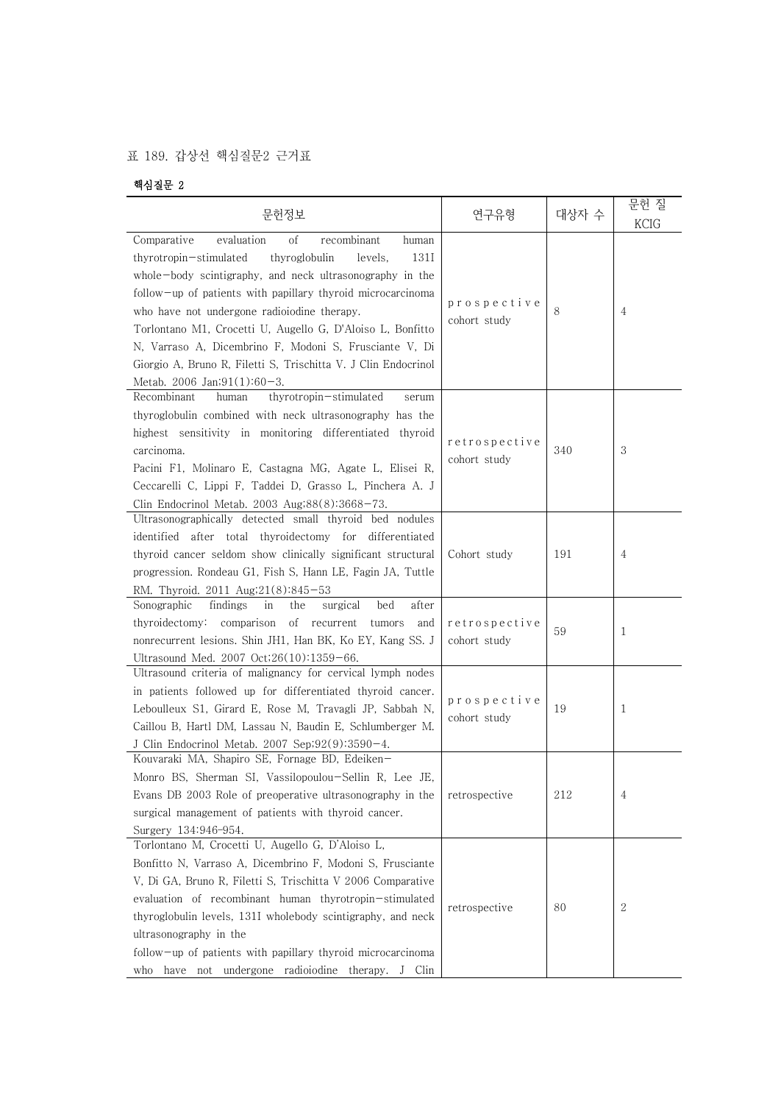## 표 189. 갑상선 핵심질문2 근거표

## 핵심질문 2

| 문헌정보                                                                                                                                                                                                                                                                                                                                                                                                                                                 | 연구유형                          | 대상자 수 | 문헌 질<br><b>KCIG</b> |
|------------------------------------------------------------------------------------------------------------------------------------------------------------------------------------------------------------------------------------------------------------------------------------------------------------------------------------------------------------------------------------------------------------------------------------------------------|-------------------------------|-------|---------------------|
| Comparative<br>evaluation<br><sub>of</sub><br>recombinant<br>human<br>thyroglobulin<br>131I<br>thyrotropin-stimulated<br>levels,                                                                                                                                                                                                                                                                                                                     |                               |       |                     |
| whole-body scintigraphy, and neck ultrasonography in the<br>follow-up of patients with papillary thyroid microcarcinoma<br>who have not undergone radioiodine therapy.<br>Torlontano M1, Crocetti U, Augello G, D'Aloiso L, Bonfitto<br>N, Varraso A, Dicembrino F, Modoni S, Frusciante V, Di<br>Giorgio A, Bruno R, Filetti S, Trischitta V. J Clin Endocrinol<br>Metab. 2006 Jan;91(1):60-3.                                                      | prospective<br>cohort study   | 8     | 4                   |
| Recombinant<br>thyrotropin-stimulated<br>human<br>serum<br>thyroglobulin combined with neck ultrasonography has the<br>highest sensitivity in monitoring differentiated thyroid<br>carcinoma.<br>Pacini F1, Molinaro E, Castagna MG, Agate L, Elisei R,<br>Ceccarelli C, Lippi F, Taddei D, Grasso L, Pinchera A. J<br>Clin Endocrinol Metab. 2003 Aug;88(8):3668-73.                                                                                | retrospective<br>cohort study | 340   | 3                   |
| Ultrasonographically detected small thyroid bed nodules<br>identified after total thyroidectomy for differentiated<br>thyroid cancer seldom show clinically significant structural<br>progression. Rondeau G1, Fish S, Hann LE, Fagin JA, Tuttle<br>RM. Thyroid. 2011 Aug;21(8):845-53                                                                                                                                                               | Cohort study                  | 191   | 4                   |
| bed<br>after<br>Sonographic<br>findings<br>in<br>the<br>surgical<br>thyroidectomy: comparison of recurrent<br>tumors<br>and<br>nonrecurrent lesions. Shin JH1, Han BK, Ko EY, Kang SS. J<br>Ultrasound Med. 2007 Oct;26(10):1359-66.                                                                                                                                                                                                                 | retrospective<br>cohort study | 59    | 1                   |
| Ultrasound criteria of malignancy for cervical lymph nodes<br>in patients followed up for differentiated thyroid cancer.<br>Leboulleux S1, Girard E, Rose M, Travagli JP, Sabbah N,<br>Caillou B, Hartl DM, Lassau N, Baudin E, Schlumberger M.<br>J Clin Endocrinol Metab. 2007 Sep;92(9):3590-4.                                                                                                                                                   | prospective<br>cohort study   | 19    | 1                   |
| Kouvaraki MA, Shapiro SE, Fornage BD, Edeiken-<br>Monro BS, Sherman SI, Vassilopoulou-Sellin R, Lee JE,<br>Evans DB 2003 Role of preoperative ultrasonography in the<br>surgical management of patients with thyroid cancer.<br>Surgery 134:946-954.                                                                                                                                                                                                 | retrospective                 | 212   | 4                   |
| Torlontano M, Crocetti U, Augello G, D'Aloiso L,<br>Bonfitto N, Varraso A, Dicembrino F, Modoni S, Frusciante<br>V, Di GA, Bruno R, Filetti S, Trischitta V 2006 Comparative<br>evaluation of recombinant human thyrotropin-stimulated<br>thyroglobulin levels, 131I wholebody scintigraphy, and neck<br>ultrasonography in the<br>follow-up of patients with papillary thyroid microcarcinoma<br>who have not undergone radiologine therapy. J Clin | retrospective                 | 80    | 2                   |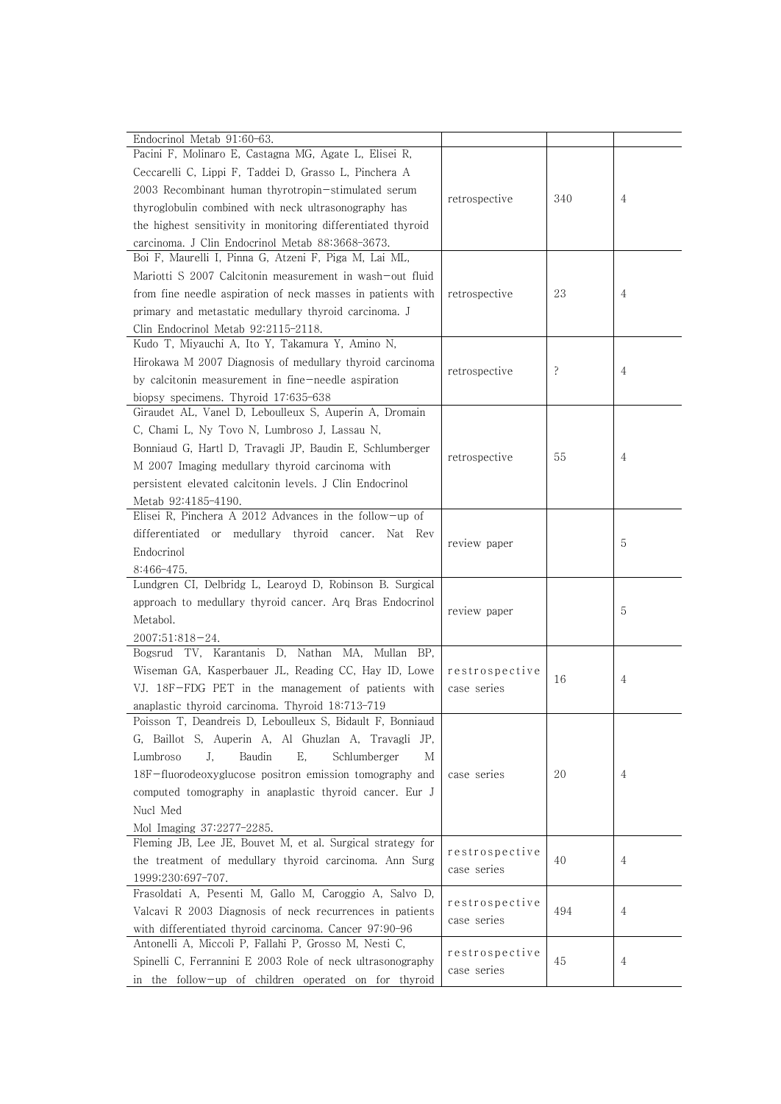| Endocrinol Metab 91:60-63.<br>Pacini F, Molinaro E, Castagna MG, Agate L, Elisei R,            |                |     |   |
|------------------------------------------------------------------------------------------------|----------------|-----|---|
| Ceccarelli C, Lippi F, Taddei D, Grasso L, Pinchera A                                          |                |     |   |
| 2003 Recombinant human thyrotropin-stimulated serum                                            |                |     |   |
| thyroglobulin combined with neck ultrasonography has                                           | retrospective  | 340 | 4 |
| the highest sensitivity in monitoring differentiated thyroid                                   |                |     |   |
| carcinoma. J Clin Endocrinol Metab 88:3668-3673.                                               |                |     |   |
| Boi F, Maurelli I, Pinna G, Atzeni F, Piga M, Lai ML,                                          |                |     |   |
| Mariotti S 2007 Calcitonin measurement in wash-out fluid                                       |                |     |   |
| from fine needle aspiration of neck masses in patients with                                    |                | 23  | 4 |
| primary and metastatic medullary thyroid carcinoma. J                                          | retrospective  |     |   |
|                                                                                                |                |     |   |
| Clin Endocrinol Metab 92:2115-2118.<br>Kudo T, Miyauchi A, Ito Y, Takamura Y, Amino N,         |                |     |   |
| Hirokawa M 2007 Diagnosis of medullary thyroid carcinoma                                       |                |     |   |
|                                                                                                | retrospective  | ?   | 4 |
| by calcitonin measurement in fine-needle aspiration                                            |                |     |   |
| biopsy specimens. Thyroid 17:635-638<br>Giraudet AL, Vanel D, Leboulleux S, Auperin A, Dromain |                |     |   |
| C, Chami L, Ny Tovo N, Lumbroso J, Lassau N,                                                   |                |     |   |
|                                                                                                |                |     |   |
| Bonniaud G, Hartl D, Travagli JP, Baudin E, Schlumberger                                       | retrospective  | 55  | 4 |
| M 2007 Imaging medullary thyroid carcinoma with                                                |                |     |   |
| persistent elevated calcitonin levels. J Clin Endocrinol                                       |                |     |   |
| Metab 92:4185-4190.<br>Elisei R, Pinchera A 2012 Advances in the follow-up of                  |                |     |   |
|                                                                                                |                |     |   |
| differentiated or medullary thyroid cancer. Nat Rev                                            | review paper   |     | 5 |
| Endocrinol                                                                                     |                |     |   |
| $8:466-475$ .<br>Lundgren CI, Delbridg L, Learoyd D, Robinson B. Surgical                      |                |     |   |
| approach to medullary thyroid cancer. Arq Bras Endocrinol                                      |                |     |   |
| Metabol.                                                                                       | review paper   |     | 5 |
| $2007;51:818-24.$                                                                              |                |     |   |
| Bogsrud TV, Karantanis D, Nathan MA, Mullan BP,                                                |                |     |   |
| Wiseman GA, Kasperbauer JL, Reading CC, Hay ID, Lowe                                           | restrospective |     |   |
| VJ. 18F-FDG PET in the management of patients with                                             | case series    | 16  | 4 |
| anaplastic thyroid carcinoma. Thyroid 18:713-719                                               |                |     |   |
| Poisson T, Deandreis D, Leboulleux S, Bidault F, Bonniaud                                      |                |     |   |
| G, Baillot S, Auperin A, Al Ghuzlan A, Travagli JP,                                            |                |     |   |
| J,<br>Baudin<br>Ε,<br>Lumbroso<br>Schlumberger<br>М                                            |                |     |   |
| 18F-fluorodeoxyglucose positron emission tomography and                                        | case series    | 20  | 4 |
| computed tomography in anaplastic thyroid cancer. Eur J                                        |                |     |   |
| Nucl Med                                                                                       |                |     |   |
|                                                                                                |                |     |   |
| Mol Imaging 37:2277-2285.<br>Fleming JB, Lee JE, Bouvet M, et al. Surgical strategy for        |                |     |   |
| the treatment of medullary thyroid carcinoma. Ann Surg                                         | restrospective | 40  | 4 |
| 1999;230:697-707.                                                                              | case series    |     |   |
| Frasoldati A, Pesenti M, Gallo M, Caroggio A, Salvo D,                                         |                |     |   |
| Valcavi R 2003 Diagnosis of neck recurrences in patients                                       | restrospective | 494 | 4 |
| with differentiated thyroid carcinoma. Cancer 97:90-96                                         | case series    |     |   |
| Antonelli A, Miccoli P, Fallahi P, Grosso M, Nesti C,                                          |                |     |   |
| Spinelli C, Ferrannini E 2003 Role of neck ultrasonography                                     | restrospective | 45  | 4 |
| in the follow-up of children operated on for thyroid                                           | case series    |     |   |